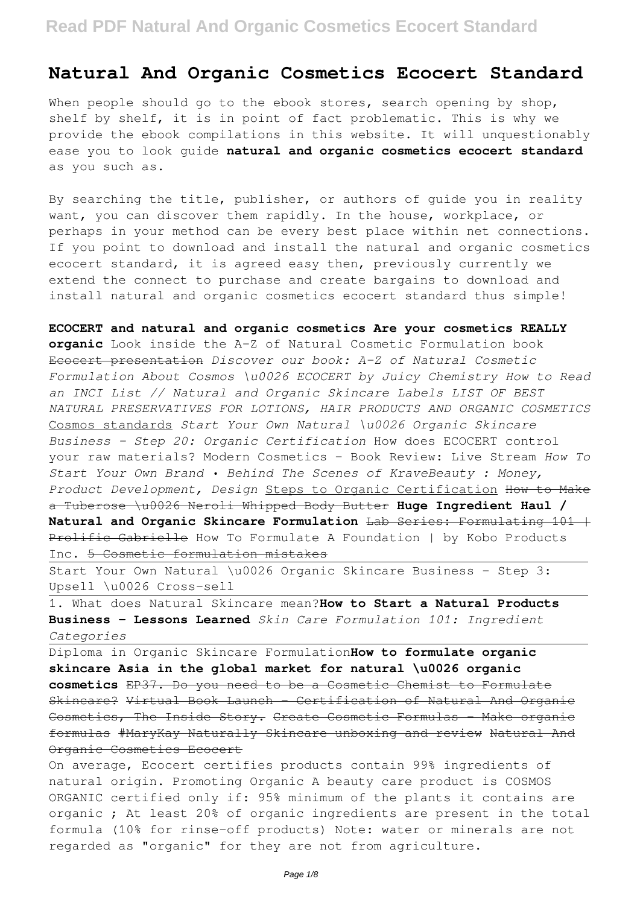### **Natural And Organic Cosmetics Ecocert Standard**

When people should go to the ebook stores, search opening by shop, shelf by shelf, it is in point of fact problematic. This is why we provide the ebook compilations in this website. It will unquestionably ease you to look guide **natural and organic cosmetics ecocert standard** as you such as.

By searching the title, publisher, or authors of guide you in reality want, you can discover them rapidly. In the house, workplace, or perhaps in your method can be every best place within net connections. If you point to download and install the natural and organic cosmetics ecocert standard, it is agreed easy then, previously currently we extend the connect to purchase and create bargains to download and install natural and organic cosmetics ecocert standard thus simple!

**ECOCERT and natural and organic cosmetics Are your cosmetics REALLY organic** Look inside the A-Z of Natural Cosmetic Formulation book Ecocert presentation *Discover our book: A-Z of Natural Cosmetic Formulation About Cosmos \u0026 ECOCERT by Juicy Chemistry How to Read an INCI List // Natural and Organic Skincare Labels LIST OF BEST NATURAL PRESERVATIVES FOR LOTIONS, HAIR PRODUCTS AND ORGANIC COSMETICS* Cosmos standards *Start Your Own Natural \u0026 Organic Skincare Business - Step 20: Organic Certification* How does ECOCERT control your raw materials? Modern Cosmetics - Book Review: Live Stream *How To Start Your Own Brand • Behind The Scenes of KraveBeauty : Money, Product Development, Design* Steps to Organic Certification How to Make a Tuberose \u0026 Neroli Whipped Body Butter **Huge Ingredient Haul / Natural and Organic Skincare Formulation** Lab Series: Formulating 101 | Prolific Gabrielle How To Formulate A Foundation | by Kobo Products Inc. 5 Cosmetic formulation mistakes

Start Your Own Natural \u0026 Organic Skincare Business - Step 3: Upsell \u0026 Cross-sell

1. What does Natural Skincare mean?**How to Start a Natural Products Business - Lessons Learned** *Skin Care Formulation 101: Ingredient Categories*

Diploma in Organic Skincare Formulation**How to formulate organic skincare Asia in the global market for natural \u0026 organic cosmetics** EP37. Do you need to be a Cosmetic Chemist to Formulate Skincare? Virtual Book Launch - Certification of Natural And Organic Cosmetics, The Inside Story. Create Cosmetic Formulas - Make organic formulas #MaryKay Naturally Skincare unboxing and review Natural And Organic Cosmetics Ecocert

On average, Ecocert certifies products contain 99% ingredients of natural origin. Promoting Organic A beauty care product is COSMOS ORGANIC certified only if: 95% minimum of the plants it contains are organic ; At least 20% of organic ingredients are present in the total formula (10% for rinse-off products) Note: water or minerals are not regarded as "organic" for they are not from agriculture.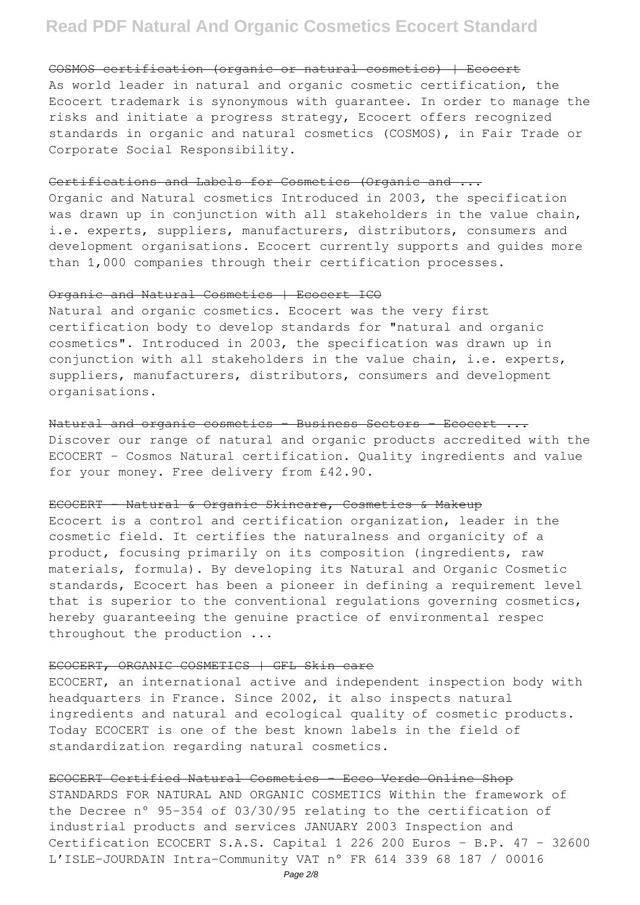COSMOS certification (organic or natural cosmetics) | Ecocert As world leader in natural and organic cosmetic certification, the Ecocert trademark is synonymous with guarantee. In order to manage the risks and initiate a progress strategy, Ecocert offers recognized standards in organic and natural cosmetics (COSMOS), in Fair Trade or Corporate Social Responsibility.

### Certifications and Labels for Cosmetics (Organic and ...

Organic and Natural cosmetics Introduced in 2003, the specification was drawn up in conjunction with all stakeholders in the value chain, i.e. experts, suppliers, manufacturers, distributors, consumers and development organisations. Ecocert currently supports and guides more than 1,000 companies through their certification processes.

### Organic and Natural Cosmetics | Ecocert ICO

Natural and organic cosmetics. Ecocert was the very first certification body to develop standards for "natural and organic cosmetics". Introduced in 2003, the specification was drawn up in conjunction with all stakeholders in the value chain, i.e. experts, suppliers, manufacturers, distributors, consumers and development organisations.

Natural and organic cosmetics - Business Sectors - Ecocert ... Discover our range of natural and organic products accredited with the ECOCERT - Cosmos Natural certification. Quality ingredients and value for your money. Free delivery from £42.90.

### ECOCERT - Natural & Organic Skincare, Cosmetics & Makeup

Ecocert is a control and certification organization, leader in the cosmetic field. It certifies the naturalness and organicity of a product, focusing primarily on its composition (ingredients, raw materials, formula). By developing its Natural and Organic Cosmetic standards, Ecocert has been a pioneer in defining a requirement level that is superior to the conventional regulations governing cosmetics, hereby guaranteeing the genuine practice of environmental respec throughout the production ...

#### ECOCERT, ORGANIC COSMETICS | GFL Skin care

ECOCERT, an international active and independent inspection body with headquarters in France. Since 2002, it also inspects natural ingredients and natural and ecological quality of cosmetic products. Today ECOCERT is one of the best known labels in the field of standardization regarding natural cosmetics.

ECOCERT Certified Natural Cosmetics - Ecco Verde Online Shop STANDARDS FOR NATURAL AND ORGANIC COSMETICS Within the framework of the Decree n° 95-354 of 03/30/95 relating to the certification of industrial products and services JANUARY 2003 Inspection and Certification ECOCERT S.A.S. Capital 1 226 200 Euros – B.P. 47 – 32600 L'ISLE-JOURDAIN Intra-Community VAT n° FR 614 339 68 187 / 00016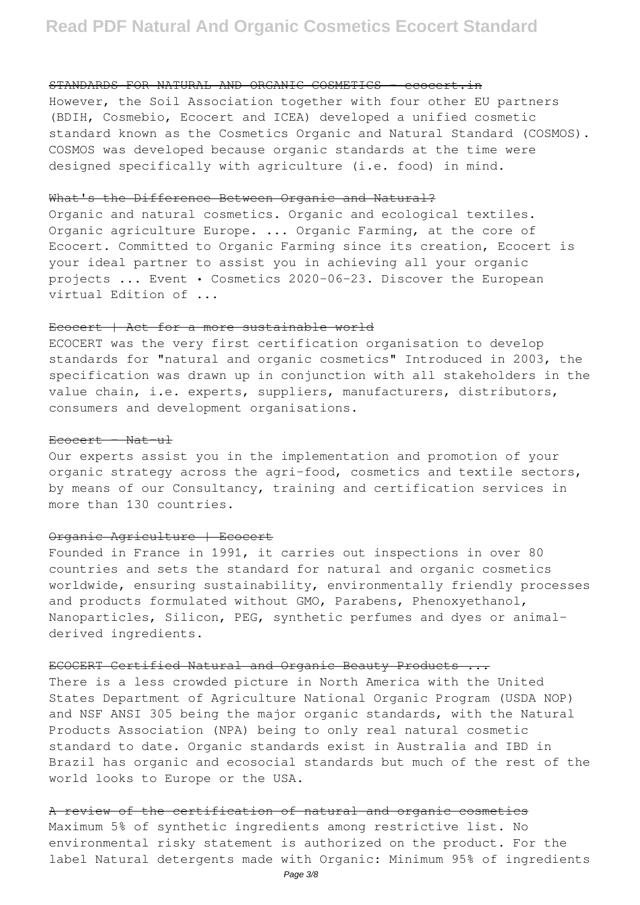#### STANDARDS FOR NATURAL AND ORGANIC COSMETICS - ecocert.in

However, the Soil Association together with four other EU partners (BDIH, Cosmebio, Ecocert and ICEA) developed a unified cosmetic standard known as the Cosmetics Organic and Natural Standard (COSMOS). COSMOS was developed because organic standards at the time were designed specifically with agriculture (i.e. food) in mind.

#### What's the Difference Between Organic and Natural?

Organic and natural cosmetics. Organic and ecological textiles. Organic agriculture Europe. ... Organic Farming, at the core of Ecocert. Committed to Organic Farming since its creation, Ecocert is your ideal partner to assist you in achieving all your organic projects ... Event • Cosmetics 2020-06-23. Discover the European virtual Edition of ...

#### Ecocert | Act for a more sustainable world

ECOCERT was the very first certification organisation to develop standards for "natural and organic cosmetics" Introduced in 2003, the specification was drawn up in conjunction with all stakeholders in the value chain, i.e. experts, suppliers, manufacturers, distributors, consumers and development organisations.

#### $Ecocert - Nat-u1$

Our experts assist you in the implementation and promotion of your organic strategy across the agri-food, cosmetics and textile sectors, by means of our Consultancy, training and certification services in more than 130 countries.

#### Organic Agriculture | Ecocert

Founded in France in 1991, it carries out inspections in over 80 countries and sets the standard for natural and organic cosmetics worldwide, ensuring sustainability, environmentally friendly processes and products formulated without GMO, Parabens, Phenoxyethanol, Nanoparticles, Silicon, PEG, synthetic perfumes and dyes or animalderived ingredients.

### ECOCERT Certified Natural and Organic Beauty Products ...

There is a less crowded picture in North America with the United States Department of Agriculture National Organic Program (USDA NOP) and NSF ANSI 305 being the major organic standards, with the Natural Products Association (NPA) being to only real natural cosmetic standard to date. Organic standards exist in Australia and IBD in Brazil has organic and ecosocial standards but much of the rest of the world looks to Europe or the USA.

A review of the certification of natural and organic cosmetics Maximum 5% of synthetic ingredients among restrictive list. No environmental risky statement is authorized on the product. For the label Natural detergents made with Organic: Minimum 95% of ingredients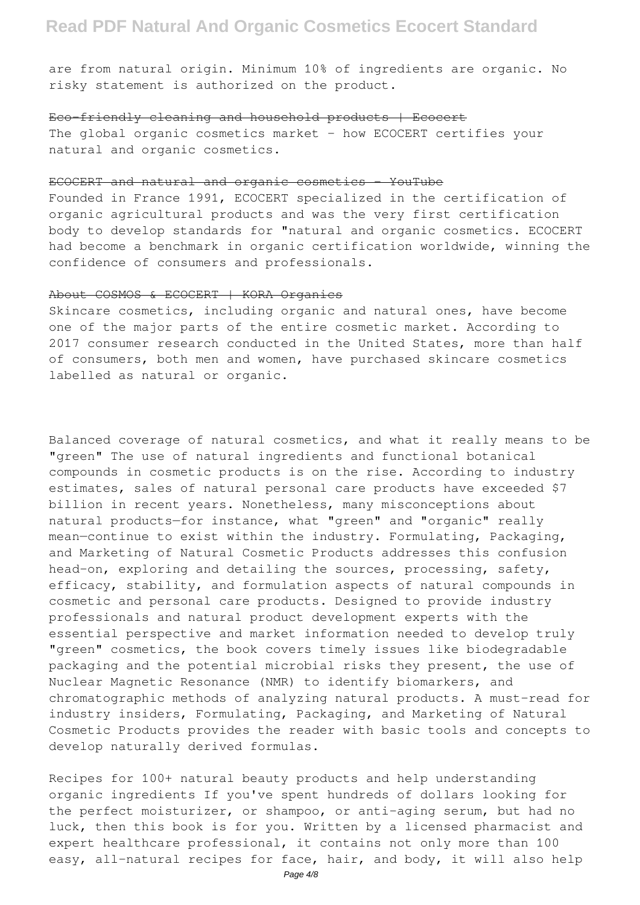are from natural origin. Minimum 10% of ingredients are organic. No risky statement is authorized on the product.

Eco-friendly cleaning and household products | Ecocert The global organic cosmetics market - how ECOCERT certifies your natural and organic cosmetics.

### ECOCERT and natural and organic cosmetics - YouTube

Founded in France 1991, ECOCERT specialized in the certification of organic agricultural products and was the very first certification body to develop standards for "natural and organic cosmetics. ECOCERT had become a benchmark in organic certification worldwide, winning the confidence of consumers and professionals.

#### About COSMOS & ECOCERT | KORA Organics

Skincare cosmetics, including organic and natural ones, have become one of the major parts of the entire cosmetic market. According to 2017 consumer research conducted in the United States, more than half of consumers, both men and women, have purchased skincare cosmetics labelled as natural or organic.

Balanced coverage of natural cosmetics, and what it really means to be "green" The use of natural ingredients and functional botanical compounds in cosmetic products is on the rise. According to industry estimates, sales of natural personal care products have exceeded \$7 billion in recent years. Nonetheless, many misconceptions about natural products—for instance, what "green" and "organic" really mean—continue to exist within the industry. Formulating, Packaging, and Marketing of Natural Cosmetic Products addresses this confusion head-on, exploring and detailing the sources, processing, safety, efficacy, stability, and formulation aspects of natural compounds in cosmetic and personal care products. Designed to provide industry professionals and natural product development experts with the essential perspective and market information needed to develop truly "green" cosmetics, the book covers timely issues like biodegradable packaging and the potential microbial risks they present, the use of Nuclear Magnetic Resonance (NMR) to identify biomarkers, and chromatographic methods of analyzing natural products. A must-read for industry insiders, Formulating, Packaging, and Marketing of Natural Cosmetic Products provides the reader with basic tools and concepts to develop naturally derived formulas.

Recipes for 100+ natural beauty products and help understanding organic ingredients If you've spent hundreds of dollars looking for the perfect moisturizer, or shampoo, or anti-aging serum, but had no luck, then this book is for you. Written by a licensed pharmacist and expert healthcare professional, it contains not only more than 100 easy, all-natural recipes for face, hair, and body, it will also help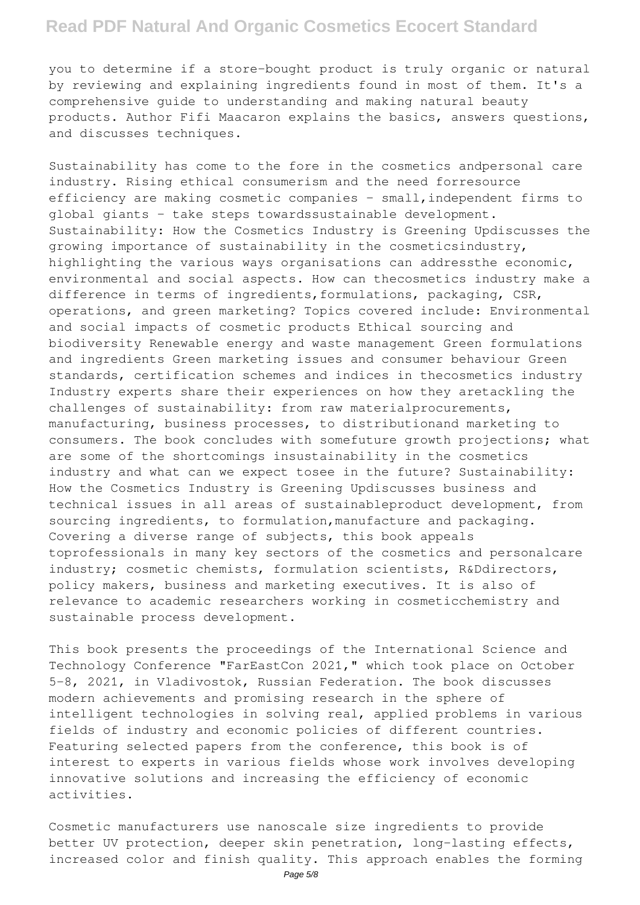you to determine if a store-bought product is truly organic or natural by reviewing and explaining ingredients found in most of them. It's a comprehensive guide to understanding and making natural beauty products. Author Fifi Maacaron explains the basics, answers questions, and discusses techniques.

Sustainability has come to the fore in the cosmetics andpersonal care industry. Rising ethical consumerism and the need forresource efficiency are making cosmetic companies – small,independent firms to global giants – take steps towardssustainable development. Sustainability: How the Cosmetics Industry is Greening Updiscusses the growing importance of sustainability in the cosmeticsindustry, highlighting the various ways organisations can addressthe economic, environmental and social aspects. How can thecosmetics industry make a difference in terms of ingredients,formulations, packaging, CSR, operations, and green marketing? Topics covered include: Environmental and social impacts of cosmetic products Ethical sourcing and biodiversity Renewable energy and waste management Green formulations and ingredients Green marketing issues and consumer behaviour Green standards, certification schemes and indices in thecosmetics industry Industry experts share their experiences on how they aretackling the challenges of sustainability: from raw materialprocurements, manufacturing, business processes, to distributionand marketing to consumers. The book concludes with somefuture growth projections; what are some of the shortcomings insustainability in the cosmetics industry and what can we expect tosee in the future? Sustainability: How the Cosmetics Industry is Greening Updiscusses business and technical issues in all areas of sustainableproduct development, from sourcing ingredients, to formulation,manufacture and packaging. Covering a diverse range of subjects, this book appeals toprofessionals in many key sectors of the cosmetics and personalcare industry; cosmetic chemists, formulation scientists, R&Ddirectors, policy makers, business and marketing executives. It is also of relevance to academic researchers working in cosmeticchemistry and sustainable process development.

This book presents the proceedings of the International Science and Technology Conference "FarEastCon 2021," which took place on October 5-8, 2021, in Vladivostok, Russian Federation. The book discusses modern achievements and promising research in the sphere of intelligent technologies in solving real, applied problems in various fields of industry and economic policies of different countries. Featuring selected papers from the conference, this book is of interest to experts in various fields whose work involves developing innovative solutions and increasing the efficiency of economic activities.

Cosmetic manufacturers use nanoscale size ingredients to provide better UV protection, deeper skin penetration, long-lasting effects, increased color and finish quality. This approach enables the forming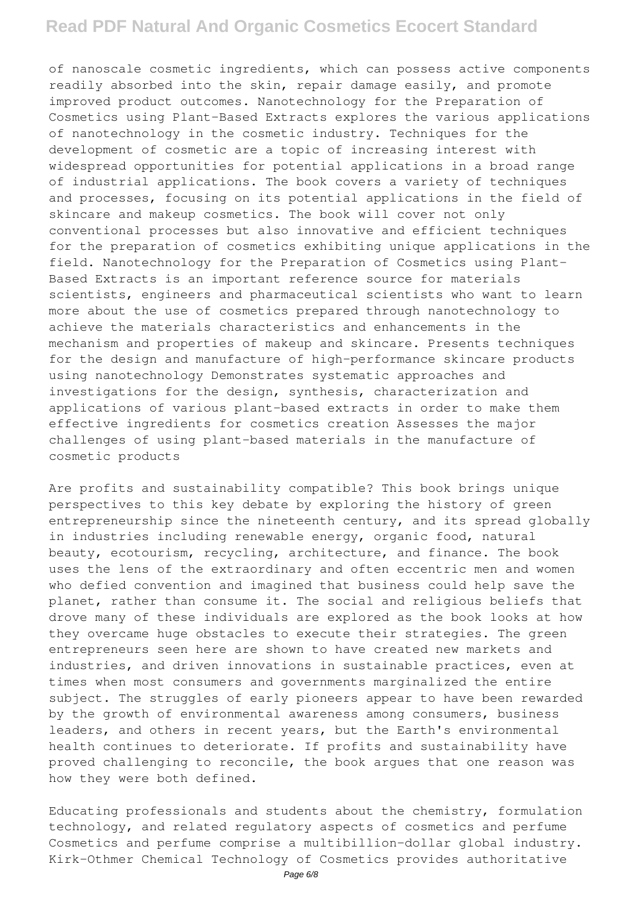of nanoscale cosmetic ingredients, which can possess active components readily absorbed into the skin, repair damage easily, and promote improved product outcomes. Nanotechnology for the Preparation of Cosmetics using Plant-Based Extracts explores the various applications of nanotechnology in the cosmetic industry. Techniques for the development of cosmetic are a topic of increasing interest with widespread opportunities for potential applications in a broad range of industrial applications. The book covers a variety of techniques and processes, focusing on its potential applications in the field of skincare and makeup cosmetics. The book will cover not only conventional processes but also innovative and efficient techniques for the preparation of cosmetics exhibiting unique applications in the field. Nanotechnology for the Preparation of Cosmetics using Plant-Based Extracts is an important reference source for materials scientists, engineers and pharmaceutical scientists who want to learn more about the use of cosmetics prepared through nanotechnology to achieve the materials characteristics and enhancements in the mechanism and properties of makeup and skincare. Presents techniques for the design and manufacture of high-performance skincare products using nanotechnology Demonstrates systematic approaches and investigations for the design, synthesis, characterization and applications of various plant-based extracts in order to make them effective ingredients for cosmetics creation Assesses the major challenges of using plant-based materials in the manufacture of cosmetic products

Are profits and sustainability compatible? This book brings unique perspectives to this key debate by exploring the history of green entrepreneurship since the nineteenth century, and its spread globally in industries including renewable energy, organic food, natural beauty, ecotourism, recycling, architecture, and finance. The book uses the lens of the extraordinary and often eccentric men and women who defied convention and imagined that business could help save the planet, rather than consume it. The social and religious beliefs that drove many of these individuals are explored as the book looks at how they overcame huge obstacles to execute their strategies. The green entrepreneurs seen here are shown to have created new markets and industries, and driven innovations in sustainable practices, even at times when most consumers and governments marginalized the entire subject. The struggles of early pioneers appear to have been rewarded by the growth of environmental awareness among consumers, business leaders, and others in recent years, but the Earth's environmental health continues to deteriorate. If profits and sustainability have proved challenging to reconcile, the book argues that one reason was how they were both defined.

Educating professionals and students about the chemistry, formulation technology, and related regulatory aspects of cosmetics and perfume Cosmetics and perfume comprise a multibillion-dollar global industry. Kirk-Othmer Chemical Technology of Cosmetics provides authoritative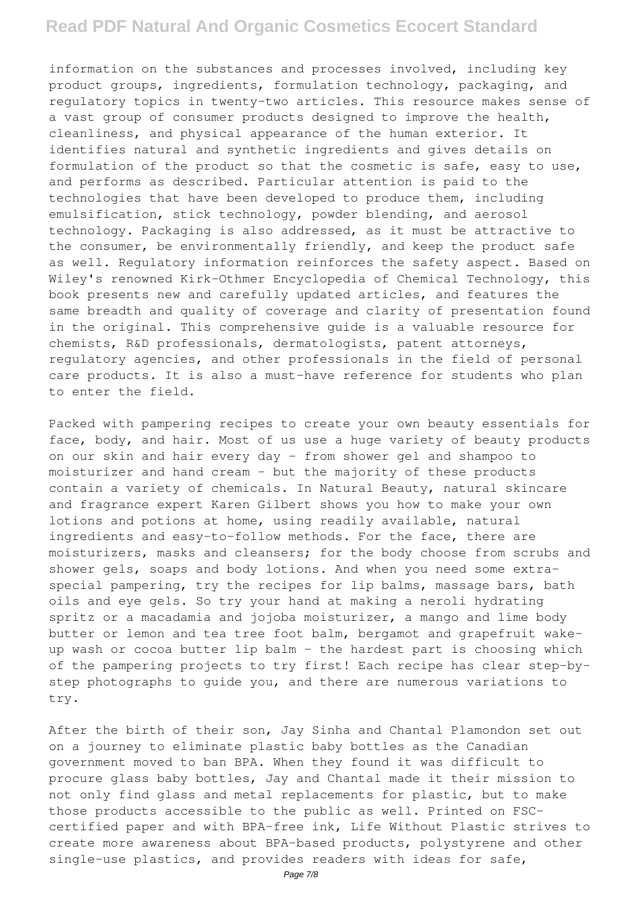information on the substances and processes involved, including key product groups, ingredients, formulation technology, packaging, and regulatory topics in twenty-two articles. This resource makes sense of a vast group of consumer products designed to improve the health, cleanliness, and physical appearance of the human exterior. It identifies natural and synthetic ingredients and gives details on formulation of the product so that the cosmetic is safe, easy to use, and performs as described. Particular attention is paid to the technologies that have been developed to produce them, including emulsification, stick technology, powder blending, and aerosol technology. Packaging is also addressed, as it must be attractive to the consumer, be environmentally friendly, and keep the product safe as well. Regulatory information reinforces the safety aspect. Based on Wiley's renowned Kirk-Othmer Encyclopedia of Chemical Technology, this book presents new and carefully updated articles, and features the same breadth and quality of coverage and clarity of presentation found in the original. This comprehensive guide is a valuable resource for chemists, R&D professionals, dermatologists, patent attorneys, regulatory agencies, and other professionals in the field of personal care products. It is also a must-have reference for students who plan to enter the field.

Packed with pampering recipes to create your own beauty essentials for face, body, and hair. Most of us use a huge variety of beauty products on our skin and hair every day - from shower gel and shampoo to moisturizer and hand cream - but the majority of these products contain a variety of chemicals. In Natural Beauty, natural skincare and fragrance expert Karen Gilbert shows you how to make your own lotions and potions at home, using readily available, natural ingredients and easy-to-follow methods. For the face, there are moisturizers, masks and cleansers; for the body choose from scrubs and shower gels, soaps and body lotions. And when you need some extraspecial pampering, try the recipes for lip balms, massage bars, bath oils and eye gels. So try your hand at making a neroli hydrating spritz or a macadamia and jojoba moisturizer, a mango and lime body butter or lemon and tea tree foot balm, bergamot and grapefruit wakeup wash or cocoa butter lip balm - the hardest part is choosing which of the pampering projects to try first! Each recipe has clear step-bystep photographs to guide you, and there are numerous variations to try.

After the birth of their son, Jay Sinha and Chantal Plamondon set out on a journey to eliminate plastic baby bottles as the Canadian government moved to ban BPA. When they found it was difficult to procure glass baby bottles, Jay and Chantal made it their mission to not only find glass and metal replacements for plastic, but to make those products accessible to the public as well. Printed on FSCcertified paper and with BPA-free ink, Life Without Plastic strives to create more awareness about BPA-based products, polystyrene and other single-use plastics, and provides readers with ideas for safe,